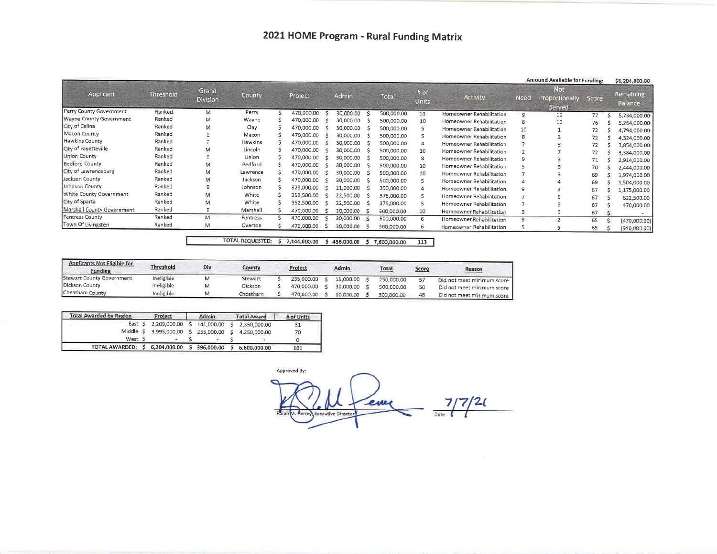|                             |           |                          |          |            |           |            |                      |                          |              | Amound Available for Funding:           |       | \$6,204,000.00              |
|-----------------------------|-----------|--------------------------|----------|------------|-----------|------------|----------------------|--------------------------|--------------|-----------------------------------------|-------|-----------------------------|
| Applicant                   | Threshold | Grand<br><b>Division</b> | County   | Project    | Admin     | Total      | # of<br><b>Units</b> | Activity                 | <b>Need</b>  | Not.<br><b>Proportionally</b><br>Served | Score | <b>Remaining</b><br>Balance |
| Perry County Government     | Ranked    | M                        | Perry    | 470,000.00 | 30,000.00 | 500,000.00 | 10                   | Homeowner Rehabilitation |              | 10                                      | 77    | 5,734,000.00                |
| Wayne County Government     | Ranked    | м                        | Wayne    | 470,000.00 | 30,000.00 | 500,000.00 | 10                   | Homeowner Rehabilitation |              | 10                                      | 76    | 5,264,000.00                |
| City of Celina              | Ranked    | M                        | Clay     | 470,000.00 | 30,000.00 | 500,000.00 |                      | Homeowner Rehabilitation | 10           |                                         | 72    | 4,794,000.00                |
| Macon County                | Ranked    |                          | Macon    | 470,000.00 | 30,000.00 | 500,000.00 |                      | Homeowner Rehabilitation |              |                                         | 72    | 4,324,000.00                |
| Hawkins County              | Ranked    |                          | Hawkins  | 470,000.00 | 30,000,00 | 500,000.00 | 4                    | Homeowner Rehabilitation |              |                                         | 72    | 3,854,000.00                |
| <b>City of Fayetteville</b> | Ranked    |                          | Lincoln  | 470,000.00 | 30,000.00 | 500,000.00 | 10                   | Homeowner Rehabilitation |              |                                         | 72    | 3,384,000.00                |
| Union County                | Ranked    |                          | Union    | 470,000.00 | 30,000.00 | 500,000.00 | 8                    | Homeowner Rehabilitation |              |                                         | 71    | 2,914,000.00                |
| <b>Bedford County</b>       | Ranked    | M                        | Bedford  | 470,000,00 | 30,000.00 | 500,000,00 | 10                   | Homeowner Rehabilitation |              |                                         | 70    | 2,444,000.00                |
| City of Lawrenceburg        | Ranked    | М                        | Lawrence | 470,000.00 | 30,000.00 | 500,000.00 | 10                   | Homeowner Rehabilitation |              |                                         | 69    | 1,974,000.00                |
| Jackson County              | Ranked    |                          | Jackson  | 470,000.00 | 30,000.00 | 500,000.00 |                      | Homeowner Rehabilitation |              |                                         | 69    | 1,504,000.00                |
| Johnson County              | Ranked    |                          | Johnson  | 329,000.00 | 21,000.00 | 350,000.00 |                      | Homeowner Rehabilitation |              |                                         | 67    | 1,175,000.00                |
| White County Government     | Ranked    |                          | White    | 352,500.00 | 22,500.00 | 375,000.00 |                      | Homeowner Rehabilitation |              |                                         | 67    | 822,500.00                  |
| City of Sparta              | Ranked    | м                        | White    | 352,500.00 | 22,500.00 | 375,000.00 |                      | Homeowner Rehabilitation |              |                                         | 67    | 470,000.00                  |
| Marshall County Government  | Ranked    |                          | Marshall | 470,000.00 | 30,000.00 | 500,000.00 | 10                   | Homeowner Rehabilitation |              |                                         | 67    |                             |
| Fentress County             | Ranked    | м                        | Fentress | 470,000.00 | 30,000.00 | 500,000.00 | 6                    | Homeowner Rehabilitation | $\mathbf{9}$ |                                         | 65    | (470,000.00]                |
| Town Of Livingston          | Ranked    | M                        | Overton  | 470,000,00 | 30,000.00 | 500,000.00 | 6                    | Homeowner Rehabilitation |              |                                         | 65    | (940,000.00)                |

## TOTAL REQUESTED: \$ 7,144,000.00 \$ 456,000.00 \$ 7,600,000.00 113

| Applicants Not Eligible for<br>Funding | <b>Threshold</b> | Div | County   | Project |            |  | Admin.    | <b>Total</b> |            | <u>Score</u> | Reason                       |
|----------------------------------------|------------------|-----|----------|---------|------------|--|-----------|--------------|------------|--------------|------------------------------|
| Stewart County Government              | Ineligible       |     | Stewart  |         | 235,000.00 |  | 15.000.00 |              | 250,000.00 |              | Did not meet minimum score   |
| Dickson County                         | Ineligible       |     | Dickson  |         | 470,000.00 |  | 30.000.00 |              | 500,000,00 |              | Did not meet minimum score P |
| Cheatham County                        | Ineligible       |     | Cheatham |         | 470,000.00 |  | 30,000.00 |              | 500,000.00 |              | Did not meet minimum score   |

| <b>Total Awarded by Region</b>               | Project | Admin.                               |            | <b>Total Award</b> | # of Units   |     |
|----------------------------------------------|---------|--------------------------------------|------------|--------------------|--------------|-----|
|                                              |         | East \$ 2,209,000.00 \$              | 141,000.00 |                    | 2.350.000.00 | 31  |
|                                              |         | Middle \$ 3,995,000.00 \$ 255,000.00 |            | S.                 | 4.250.000.00 | 70  |
| West S                                       |         |                                      |            |                    |              |     |
| TOTAL AWARDED: \$ 6,204,000.00 \$ 396,000.00 |         |                                      |            |                    | 6.600.000.00 | 101 |

Approved By:  $7/7/20$ ever Executive Director